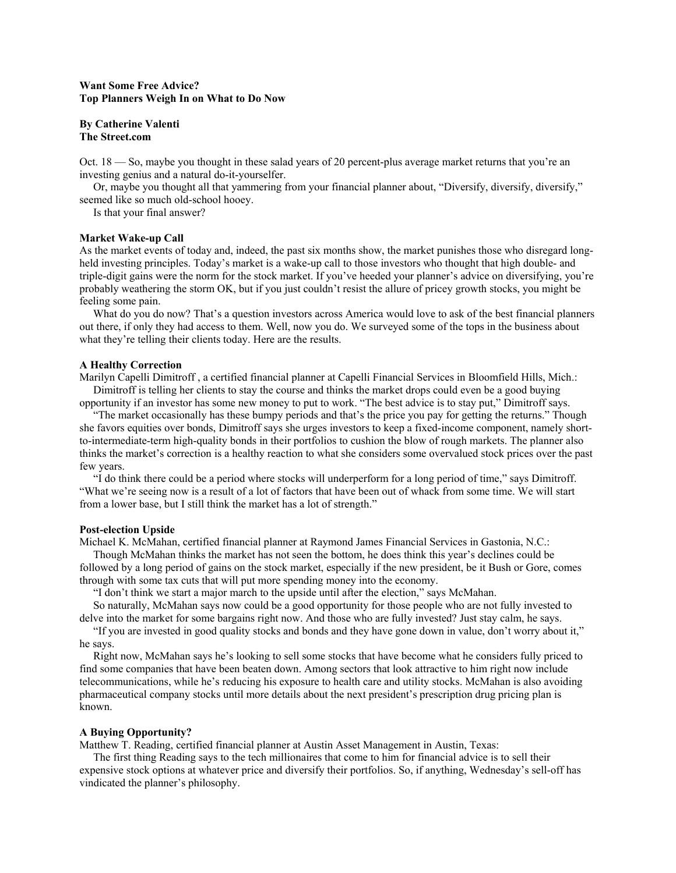# **Want Some Free Advice? Top Planners Weigh In on What to Do Now**

## **By Catherine Valenti The Street.com**

Oct. 18 — So, maybe you thought in these salad years of 20 percent-plus average market returns that you're an investing genius and a natural do-it-yourselfer.

 Or, maybe you thought all that yammering from your financial planner about, "Diversify, diversify, diversify," seemed like so much old-school hooey.

Is that your final answer?

### **Market Wake-up Call**

As the market events of today and, indeed, the past six months show, the market punishes those who disregard longheld investing principles. Today's market is a wake-up call to those investors who thought that high double- and triple-digit gains were the norm for the stock market. If you've heeded your planner's advice on diversifying, you're probably weathering the storm OK, but if you just couldn't resist the allure of pricey growth stocks, you might be feeling some pain.

What do you do now? That's a question investors across America would love to ask of the best financial planners out there, if only they had access to them. Well, now you do. We surveyed some of the tops in the business about what they're telling their clients today. Here are the results.

## **A Healthy Correction**

Marilyn Capelli Dimitroff , a certified financial planner at Capelli Financial Services in Bloomfield Hills, Mich.: Dimitroff is telling her clients to stay the course and thinks the market drops could even be a good buying

opportunity if an investor has some new money to put to work. "The best advice is to stay put," Dimitroff says.

 "The market occasionally has these bumpy periods and that's the price you pay for getting the returns." Though she favors equities over bonds, Dimitroff says she urges investors to keep a fixed-income component, namely shortto-intermediate-term high-quality bonds in their portfolios to cushion the blow of rough markets. The planner also thinks the market's correction is a healthy reaction to what she considers some overvalued stock prices over the past few years.

 "I do think there could be a period where stocks will underperform for a long period of time," says Dimitroff. "What we're seeing now is a result of a lot of factors that have been out of whack from some time. We will start from a lower base, but I still think the market has a lot of strength."

#### **Post-election Upside**

Michael K. McMahan, certified financial planner at Raymond James Financial Services in Gastonia, N.C.:

 Though McMahan thinks the market has not seen the bottom, he does think this year's declines could be followed by a long period of gains on the stock market, especially if the new president, be it Bush or Gore, comes through with some tax cuts that will put more spending money into the economy.

"I don't think we start a major march to the upside until after the election," says McMahan.

 So naturally, McMahan says now could be a good opportunity for those people who are not fully invested to delve into the market for some bargains right now. And those who are fully invested? Just stay calm, he says.

 "If you are invested in good quality stocks and bonds and they have gone down in value, don't worry about it," he says.

 Right now, McMahan says he's looking to sell some stocks that have become what he considers fully priced to find some companies that have been beaten down. Among sectors that look attractive to him right now include telecommunications, while he's reducing his exposure to health care and utility stocks. McMahan is also avoiding pharmaceutical company stocks until more details about the next president's prescription drug pricing plan is known.

#### **A Buying Opportunity?**

Matthew T. Reading, certified financial planner at Austin Asset Management in Austin, Texas:

 The first thing Reading says to the tech millionaires that come to him for financial advice is to sell their expensive stock options at whatever price and diversify their portfolios. So, if anything, Wednesday's sell-off has vindicated the planner's philosophy.